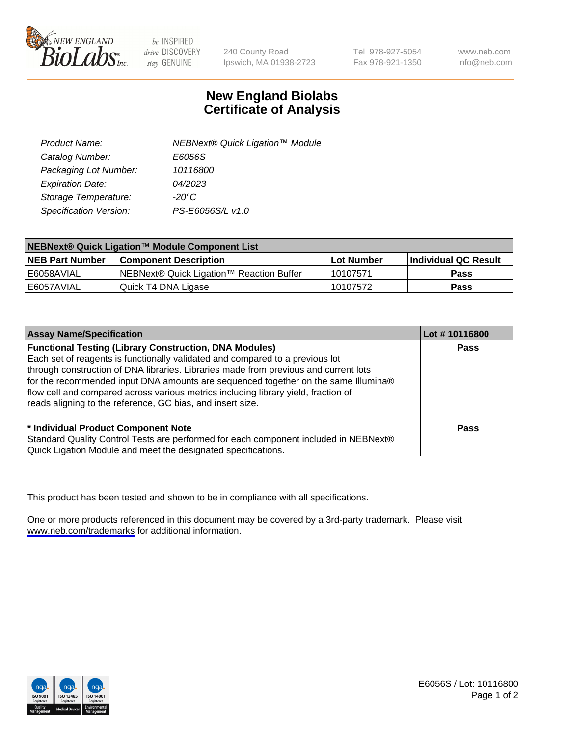

be INSPIRED drive DISCOVERY stay GENUINE

240 County Road Ipswich, MA 01938-2723 Tel 978-927-5054 Fax 978-921-1350

www.neb.com info@neb.com

## **New England Biolabs Certificate of Analysis**

| Product Name:           | NEBNext® Quick Ligation™ Module |
|-------------------------|---------------------------------|
| Catalog Number:         | E6056S                          |
| Packaging Lot Number:   | 10116800                        |
| <b>Expiration Date:</b> | 04/2023                         |
| Storage Temperature:    | $-20^{\circ}$ C                 |
| Specification Version:  | PS-E6056S/L v1.0                |

| NEBNext® Quick Ligation™ Module Component List |                                          |            |                             |  |
|------------------------------------------------|------------------------------------------|------------|-----------------------------|--|
| <b>NEB Part Number</b>                         | <b>Component Description</b>             | Lot Number | <b>Individual QC Result</b> |  |
| l E6058AVIAL                                   | NEBNext® Quick Ligation™ Reaction Buffer | 10107571   | <b>Pass</b>                 |  |
| l E6057AVIAL                                   | Quick T4 DNA Ligase                      | 10107572   | <b>Pass</b>                 |  |

| <b>Assay Name/Specification</b>                                                      | Lot #10116800 |
|--------------------------------------------------------------------------------------|---------------|
| <b>Functional Testing (Library Construction, DNA Modules)</b>                        | <b>Pass</b>   |
| Each set of reagents is functionally validated and compared to a previous lot        |               |
| through construction of DNA libraries. Libraries made from previous and current lots |               |
| for the recommended input DNA amounts are sequenced together on the same Illumina®   |               |
| flow cell and compared across various metrics including library yield, fraction of   |               |
| reads aligning to the reference, GC bias, and insert size.                           |               |
|                                                                                      |               |
| * Individual Product Component Note                                                  | Pass          |
| Standard Quality Control Tests are performed for each component included in NEBNext® |               |
| Quick Ligation Module and meet the designated specifications.                        |               |

This product has been tested and shown to be in compliance with all specifications.

One or more products referenced in this document may be covered by a 3rd-party trademark. Please visit <www.neb.com/trademarks>for additional information.